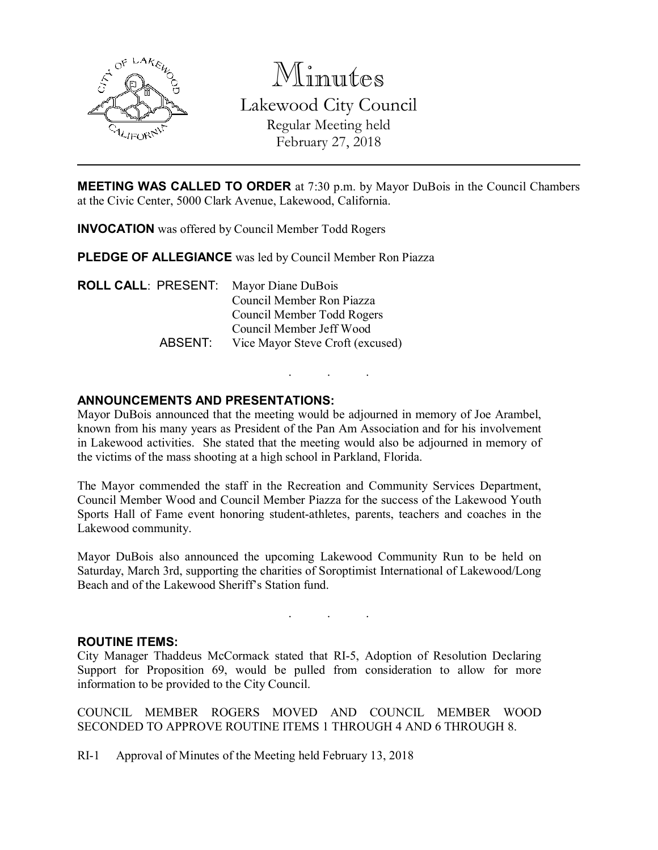

Minutes Lakewood City Council Regular Meeting held February 27, 2018

MEETING WAS CALLED TO ORDER at 7:30 p.m. by Mayor DuBois in the Council Chambers at the Civic Center, 5000 Clark Avenue, Lakewood, California.

INVOCATION was offered by Council Member Todd Rogers

PLEDGE OF ALLEGIANCE was led by Council Member Ron Piazza

ROLL CALL: PRESENT: Mayor Diane DuBois Council Member Ron Piazza Council Member Todd Rogers Council Member Jeff Wood ABSENT: Vice Mayor Steve Croft (excused)

# ANNOUNCEMENTS AND PRESENTATIONS:

Mayor DuBois announced that the meeting would be adjourned in memory of Joe Arambel, known from his many years as President of the Pan Am Association and for his involvement in Lakewood activities. She stated that the meeting would also be adjourned in memory of the victims of the mass shooting at a high school in Parkland, Florida.

. . .

The Mayor commended the staff in the Recreation and Community Services Department, Council Member Wood and Council Member Piazza for the success of the Lakewood Youth Sports Hall of Fame event honoring student-athletes, parents, teachers and coaches in the Lakewood community.

Mayor DuBois also announced the upcoming Lakewood Community Run to be held on Saturday, March 3rd, supporting the charities of Soroptimist International of Lakewood/Long Beach and of the Lakewood Sheriff's Station fund.

. . .

#### ROUTINE ITEMS:

City Manager Thaddeus McCormack stated that RI-5, Adoption of Resolution Declaring Support for Proposition 69, would be pulled from consideration to allow for more information to be provided to the City Council.

COUNCIL MEMBER ROGERS MOVED AND COUNCIL MEMBER WOOD SECONDED TO APPROVE ROUTINE ITEMS 1 THROUGH 4 AND 6 THROUGH 8.

RI-1 Approval of Minutes of the Meeting held February 13, 2018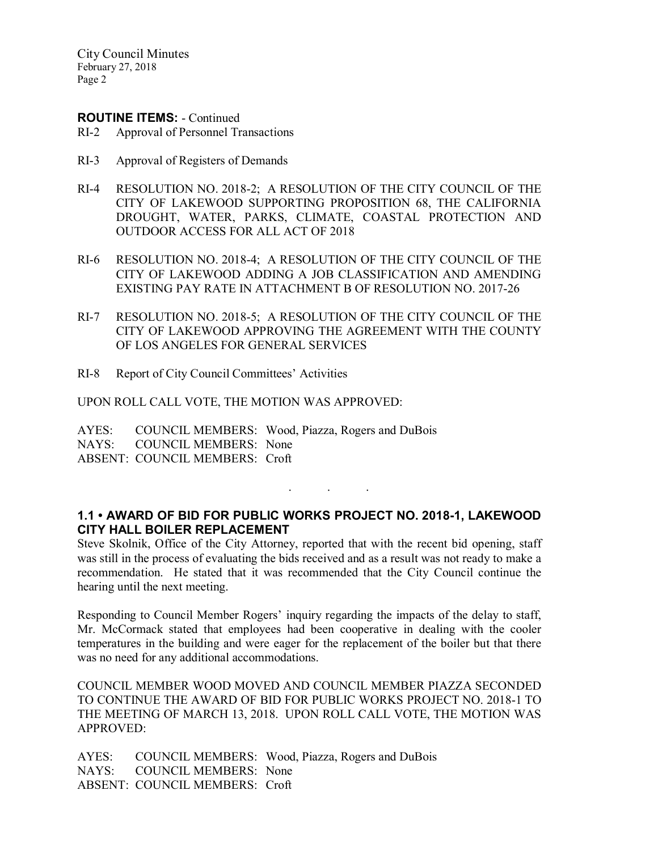City Council Minutes February 27, 2018 Page 2

#### ROUTINE ITEMS: - Continued

- RI-2 Approval of Personnel Transactions
- RI-3 Approval of Registers of Demands
- RI-4 RESOLUTION NO. 2018-2; A RESOLUTION OF THE CITY COUNCIL OF THE CITY OF LAKEWOOD SUPPORTING PROPOSITION 68, THE CALIFORNIA DROUGHT, WATER, PARKS, CLIMATE, COASTAL PROTECTION AND OUTDOOR ACCESS FOR ALL ACT OF 2018
- RI-6 RESOLUTION NO. 2018-4; A RESOLUTION OF THE CITY COUNCIL OF THE CITY OF LAKEWOOD ADDING A JOB CLASSIFICATION AND AMENDING EXISTING PAY RATE IN ATTACHMENT B OF RESOLUTION NO. 2017-26
- RI-7 RESOLUTION NO. 2018-5; A RESOLUTION OF THE CITY COUNCIL OF THE CITY OF LAKEWOOD APPROVING THE AGREEMENT WITH THE COUNTY OF LOS ANGELES FOR GENERAL SERVICES
- RI-8 Report of City Council Committees' Activities

UPON ROLL CALL VOTE, THE MOTION WAS APPROVED:

AYES: COUNCIL MEMBERS: Wood, Piazza, Rogers and DuBois NAYS: COUNCIL MEMBERS: None ABSENT: COUNCIL MEMBERS: Croft

## 1.1 • AWARD OF BID FOR PUBLIC WORKS PROJECT NO. 2018-1, LAKEWOOD CITY HALL BOILER REPLACEMENT

. . .

Steve Skolnik, Office of the City Attorney, reported that with the recent bid opening, staff was still in the process of evaluating the bids received and as a result was not ready to make a recommendation. He stated that it was recommended that the City Council continue the hearing until the next meeting.

Responding to Council Member Rogers' inquiry regarding the impacts of the delay to staff, Mr. McCormack stated that employees had been cooperative in dealing with the cooler temperatures in the building and were eager for the replacement of the boiler but that there was no need for any additional accommodations.

COUNCIL MEMBER WOOD MOVED AND COUNCIL MEMBER PIAZZA SECONDED TO CONTINUE THE AWARD OF BID FOR PUBLIC WORKS PROJECT NO. 2018-1 TO THE MEETING OF MARCH 13, 2018. UPON ROLL CALL VOTE, THE MOTION WAS APPROVED:

AYES: COUNCIL MEMBERS: Wood, Piazza, Rogers and DuBois NAYS: COUNCIL MEMBERS: None ABSENT: COUNCIL MEMBERS: Croft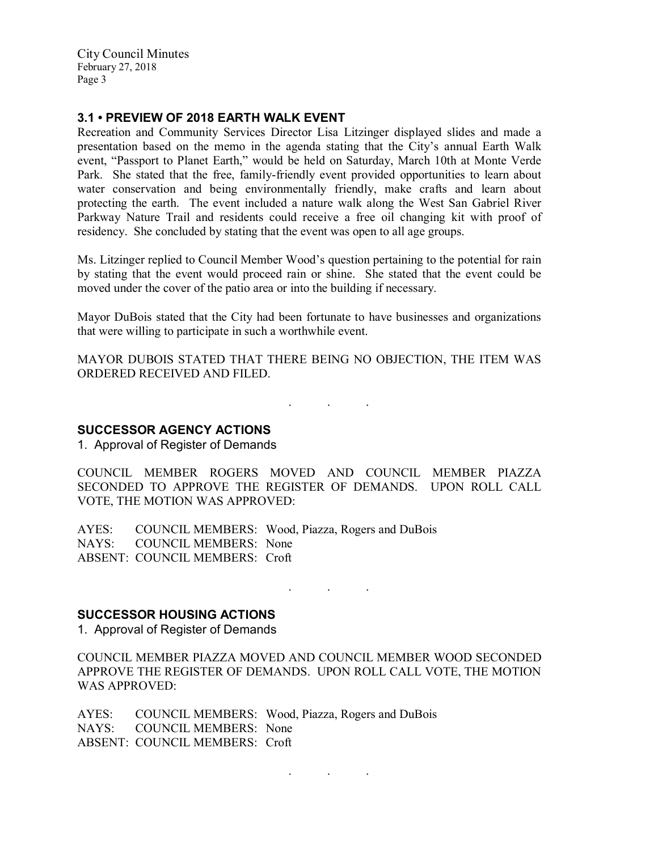City Council Minutes February 27, 2018 Page 3

## 3.1 • PREVIEW OF 2018 EARTH WALK EVENT

Recreation and Community Services Director Lisa Litzinger displayed slides and made a presentation based on the memo in the agenda stating that the City's annual Earth Walk event, "Passport to Planet Earth," would be held on Saturday, March 10th at Monte Verde Park. She stated that the free, family-friendly event provided opportunities to learn about water conservation and being environmentally friendly, make crafts and learn about protecting the earth. The event included a nature walk along the West San Gabriel River Parkway Nature Trail and residents could receive a free oil changing kit with proof of residency. She concluded by stating that the event was open to all age groups.

Ms. Litzinger replied to Council Member Wood's question pertaining to the potential for rain by stating that the event would proceed rain or shine. She stated that the event could be moved under the cover of the patio area or into the building if necessary.

Mayor DuBois stated that the City had been fortunate to have businesses and organizations that were willing to participate in such a worthwhile event.

MAYOR DUBOIS STATED THAT THERE BEING NO OBJECTION, THE ITEM WAS ORDERED RECEIVED AND FILED.

. . .

# SUCCESSOR AGENCY ACTIONS

1. Approval of Register of Demands

COUNCIL MEMBER ROGERS MOVED AND COUNCIL MEMBER PIAZZA SECONDED TO APPROVE THE REGISTER OF DEMANDS. UPON ROLL CALL VOTE, THE MOTION WAS APPROVED:

AYES: COUNCIL MEMBERS: Wood, Piazza, Rogers and DuBois NAYS: COUNCIL MEMBERS: None ABSENT: COUNCIL MEMBERS: Croft

. . .

# SUCCESSOR HOUSING ACTIONS

1. Approval of Register of Demands

COUNCIL MEMBER PIAZZA MOVED AND COUNCIL MEMBER WOOD SECONDED APPROVE THE REGISTER OF DEMANDS. UPON ROLL CALL VOTE, THE MOTION WAS APPROVED:

AYES: COUNCIL MEMBERS: Wood, Piazza, Rogers and DuBois NAYS: COUNCIL MEMBERS: None ABSENT: COUNCIL MEMBERS: Croft

. . .